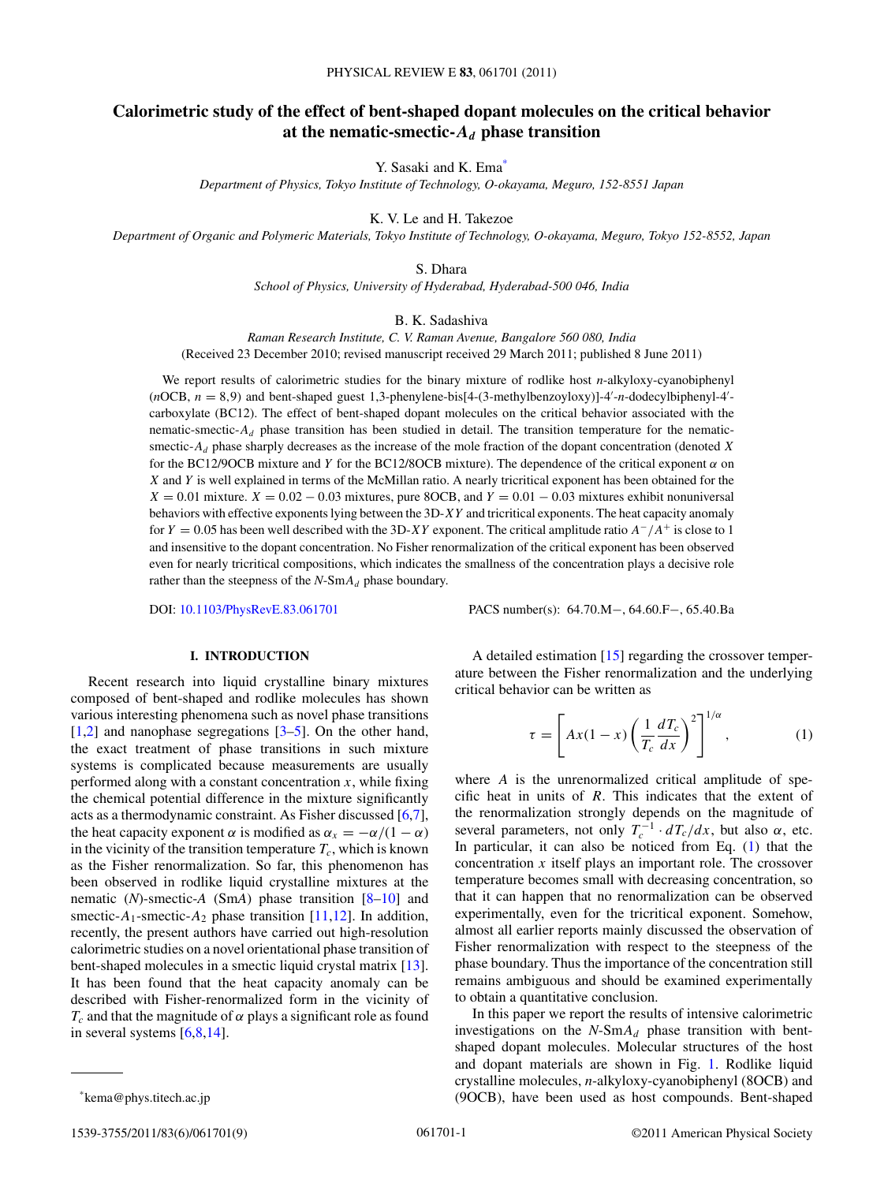# <span id="page-0-0"></span>**Calorimetric study of the effect of bent-shaped dopant molecules on the critical behavior** at the nematic-smectic- $A_d$  phase transition

Y. Sasaki and K. Ema<sup>\*</sup>

*Department of Physics, Tokyo Institute of Technology, O-okayama, Meguro, 152-8551 Japan*

K. V. Le and H. Takezoe

*Department of Organic and Polymeric Materials, Tokyo Institute of Technology, O-okayama, Meguro, Tokyo 152-8552, Japan*

S. Dhara

*School of Physics, University of Hyderabad, Hyderabad-500 046, India*

B. K. Sadashiva

*Raman Research Institute, C. V. Raman Avenue, Bangalore 560 080, India* (Received 23 December 2010; revised manuscript received 29 March 2011; published 8 June 2011)

We report results of calorimetric studies for the binary mixture of rodlike host *n*-alkyloxy-cyanobiphenyl  $(nOCB, n = 8, 9)$  and bent-shaped guest 1,3-phenylene-bis[4-(3-methylbenzoyloxy)]-4'-n-dodecylbiphenyl-4'carboxylate (BC12). The effect of bent-shaped dopant molecules on the critical behavior associated with the nematic-smectic- $A_d$  phase transition has been studied in detail. The transition temperature for the nematicsmectic-*Ad* phase sharply decreases as the increase of the mole fraction of the dopant concentration (denoted *X* for the BC12/9OCB mixture and *Y* for the BC12/8OCB mixture). The dependence of the critical exponent *α* on *X* and *Y* is well explained in terms of the McMillan ratio. A nearly tricritical exponent has been obtained for the  $X = 0.01$  mixture.  $X = 0.02 - 0.03$  mixtures, pure 8OCB, and  $Y = 0.01 - 0.03$  mixtures exhibit nonuniversal behaviors with effective exponents lying between the 3D-*XY* and tricritical exponents. The heat capacity anomaly for *Y* = 0*.*05 has been well described with the 3D-*XY* exponent. The critical amplitude ratio *A*−*/A*<sup>+</sup> is close to 1 and insensitive to the dopant concentration. No Fisher renormalization of the critical exponent has been observed even for nearly tricritical compositions, which indicates the smallness of the concentration plays a decisive role rather than the steepness of the *N*-Sm*Ad* phase boundary.

DOI: [10.1103/PhysRevE.83.061701](http://dx.doi.org/10.1103/PhysRevE.83.061701) PACS number(s): 64*.*70*.*M−, 64*.*60*.*F−, 65*.*40*.*Ba

# **I. INTRODUCTION**

Recent research into liquid crystalline binary mixtures composed of bent-shaped and rodlike molecules has shown various interesting phenomena such as novel phase transitions  $[1,2]$  and nanophase segregations  $[3-5]$ . On the other hand, the exact treatment of phase transitions in such mixture systems is complicated because measurements are usually performed along with a constant concentration  $x$ , while fixing the chemical potential difference in the mixture significantly acts as a thermodynamic constraint. As Fisher discussed [\[6,7\]](#page-8-0), the heat capacity exponent  $\alpha$  is modified as  $\alpha_x = -\alpha/(1 - \alpha)$ in the vicinity of the transition temperature  $T_c$ , which is known as the Fisher renormalization. So far, this phenomenon has been observed in rodlike liquid crystalline mixtures at the nematic (*N*)-smectic-*A* (Sm*A*) phase transition [\[8–10\]](#page-8-0) and smectic- $A_1$ -smectic- $A_2$  phase transition [\[11,12\]](#page-8-0). In addition, recently, the present authors have carried out high-resolution calorimetric studies on a novel orientational phase transition of bent-shaped molecules in a smectic liquid crystal matrix [\[13\]](#page-8-0). It has been found that the heat capacity anomaly can be described with Fisher-renormalized form in the vicinity of  $T_c$  and that the magnitude of  $\alpha$  plays a significant role as found in several systems  $[6,8,14]$ .

$$
\tau = \left[ Ax(1-x) \left( \frac{1}{T_c} \frac{dT_c}{dx} \right)^2 \right]^{1/\alpha},\tag{1}
$$

where *A* is the unrenormalized critical amplitude of specific heat in units of *R*. This indicates that the extent of the renormalization strongly depends on the magnitude of several parameters, not only  $T_c^{-1} \cdot dT_c/dx$ , but also  $\alpha$ , etc. In particular, it can also be noticed from Eq. (1) that the concentration *x* itself plays an important role. The crossover temperature becomes small with decreasing concentration, so that it can happen that no renormalization can be observed experimentally, even for the tricritical exponent. Somehow, almost all earlier reports mainly discussed the observation of Fisher renormalization with respect to the steepness of the phase boundary. Thus the importance of the concentration still remains ambiguous and should be examined experimentally to obtain a quantitative conclusion.

In this paper we report the results of intensive calorimetric investigations on the  $N$ -Sm $A_d$  phase transition with bentshaped dopant molecules. Molecular structures of the host and dopant materials are shown in Fig. [1.](#page-1-0) Rodlike liquid crystalline molecules, *n*-alkyloxy-cyanobiphenyl (8OCB) and (9OCB), have been used as host compounds. Bent-shaped

A detailed estimation [\[15\]](#page-8-0) regarding the crossover temperature between the Fisher renormalization and the underlying critical behavior can be written as

<sup>\*</sup>kema@phys.titech.ac.jp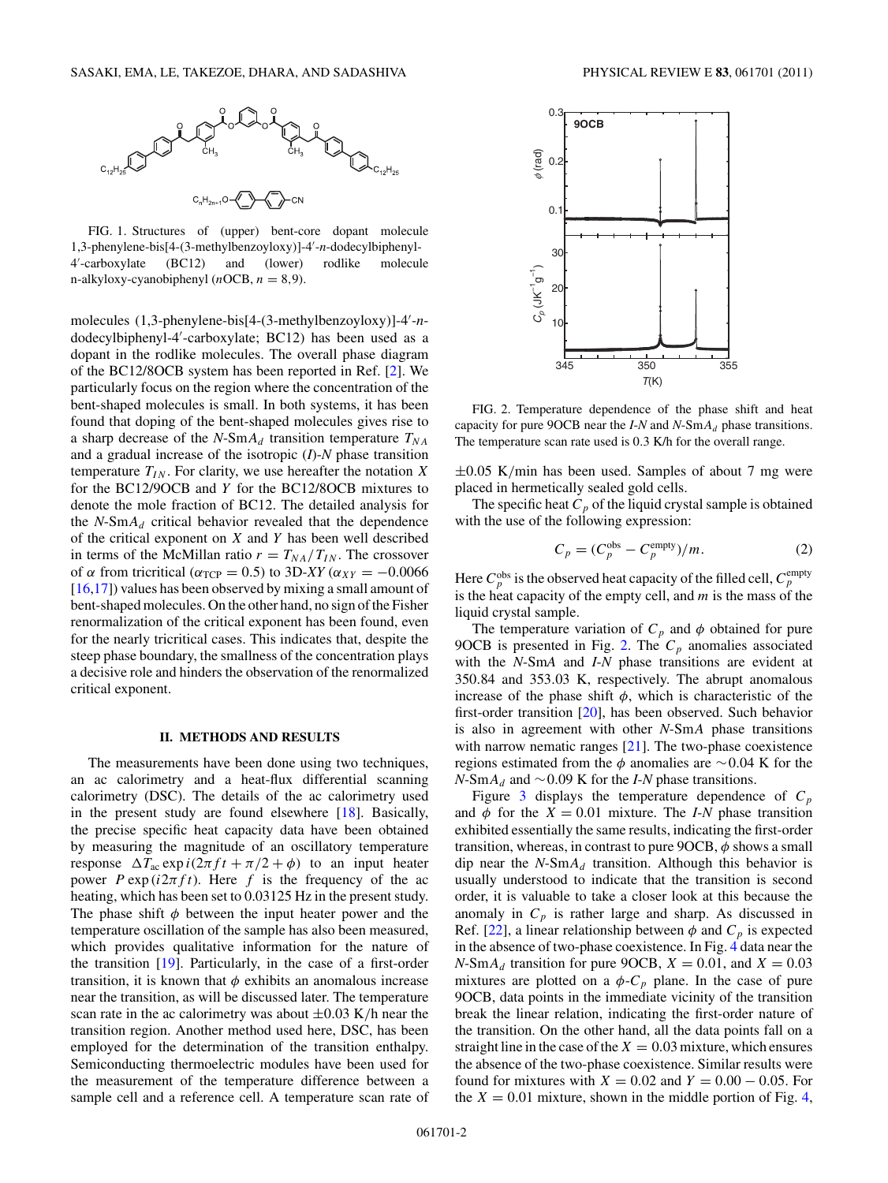<span id="page-1-0"></span>

FIG. 1. Structures of (upper) bent-core dopant molecule 1,3-phenylene-bis[4-(3-methylbenzoyloxy)]-4- -*n*-dodecylbiphenyl-4- -carboxylate (BC12) and (lower) rodlike molecule n-alkyloxy-cyanobiphenyl  $(nOCB, n = 8, 9)$ .

molecules (1,3-phenylene-bis[4-(3-methylbenzoyloxy)]-4- -*n*dodecylbiphenyl-4- -carboxylate; BC12) has been used as a dopant in the rodlike molecules. The overall phase diagram of the BC12/8OCB system has been reported in Ref. [\[2\]](#page-8-0). We particularly focus on the region where the concentration of the bent-shaped molecules is small. In both systems, it has been found that doping of the bent-shaped molecules gives rise to a sharp decrease of the  $N$ -Sm $A_d$  transition temperature  $T_{NA}$ and a gradual increase of the isotropic (*I*)-*N* phase transition temperature  $T_{IN}$ . For clarity, we use hereafter the notation X for the BC12/9OCB and *Y* for the BC12/8OCB mixtures to denote the mole fraction of BC12. The detailed analysis for the  $N$ -Sm $A_d$  critical behavior revealed that the dependence of the critical exponent on *X* and *Y* has been well described in terms of the McMillan ratio  $r = T_{NA}/T_{IN}$ . The crossover of  $\alpha$  from tricritical ( $\alpha_{TCP} = 0.5$ ) to 3D-*XY* ( $\alpha_{XY} = -0.0066$ ) [\[16,17\]](#page-8-0)) values has been observed by mixing a small amount of bent-shaped molecules. On the other hand, no sign of the Fisher renormalization of the critical exponent has been found, even for the nearly tricritical cases. This indicates that, despite the steep phase boundary, the smallness of the concentration plays a decisive role and hinders the observation of the renormalized critical exponent.

### **II. METHODS AND RESULTS**

The measurements have been done using two techniques, an ac calorimetry and a heat-flux differential scanning calorimetry (DSC). The details of the ac calorimetry used in the present study are found elsewhere [\[18\]](#page-8-0). Basically, the precise specific heat capacity data have been obtained by measuring the magnitude of an oscillatory temperature response  $\Delta T_{ac}$  exp  $i(2\pi ft + \pi/2 + \phi)$  to an input heater power  $P \exp(i2\pi ft)$ . Here f is the frequency of the ac heating, which has been set to 0.03125 Hz in the present study. The phase shift  $\phi$  between the input heater power and the temperature oscillation of the sample has also been measured, which provides qualitative information for the nature of the transition [\[19\]](#page-8-0). Particularly, in the case of a first-order transition, it is known that *φ* exhibits an anomalous increase near the transition, as will be discussed later. The temperature scan rate in the ac calorimetry was about ±0*.*03 K*/*h near the transition region. Another method used here, DSC, has been employed for the determination of the transition enthalpy. Semiconducting thermoelectric modules have been used for the measurement of the temperature difference between a sample cell and a reference cell. A temperature scan rate of



FIG. 2. Temperature dependence of the phase shift and heat capacity for pure 9OCB near the *I*-*N* and *N*-Sm*Ad* phase transitions. The temperature scan rate used is 0*.*3 K/h for the overall range.

±0*.*05 K*/*min has been used. Samples of about 7 mg were placed in hermetically sealed gold cells.

The specific heat  $C_p$  of the liquid crystal sample is obtained with the use of the following expression:

$$
C_p = (C_p^{\text{obs}} - C_p^{\text{empty}})/m. \tag{2}
$$

Here  $C_p^{\text{obs}}$  is the observed heat capacity of the filled cell,  $C_p^{\text{empty}}$ is the heat capacity of the empty cell, and *m* is the mass of the liquid crystal sample.

The temperature variation of  $C_p$  and  $\phi$  obtained for pure 9OCB is presented in Fig. 2. The  $C_p$  anomalies associated with the *N*-Sm*A* and *I*-*N* phase transitions are evident at 350*.*84 and 353*.*03 K, respectively. The abrupt anomalous increase of the phase shift  $\phi$ , which is characteristic of the first-order transition [\[20\]](#page-8-0), has been observed. Such behavior is also in agreement with other *N*-Sm*A* phase transitions with narrow nematic ranges [\[21\]](#page-8-0). The two-phase coexistence regions estimated from the *φ* anomalies are ∼0*.*04 K for the *N*-Sm*Ad* and ∼0*.*09 K for the *I*-*N* phase transitions.

Figure [3](#page-2-0) displays the temperature dependence of  $C_p$ and  $\phi$  for the  $X = 0.01$  mixture. The *I-N* phase transition exhibited essentially the same results, indicating the first-order transition, whereas, in contrast to pure 9OCB, *φ* shows a small dip near the  $N$ -Sm $A_d$  transition. Although this behavior is usually understood to indicate that the transition is second order, it is valuable to take a closer look at this because the anomaly in  $C_p$  is rather large and sharp. As discussed in Ref. [\[22\]](#page-8-0), a linear relationship between  $\phi$  and  $C_p$  is expected in the absence of two-phase coexistence. In Fig. [4](#page-2-0) data near the  $N$ -Sm $A_d$  transition for pure 9OCB,  $X = 0.01$ , and  $X = 0.03$ mixtures are plotted on a  $\phi$ - $C_p$  plane. In the case of pure 9OCB, data points in the immediate vicinity of the transition break the linear relation, indicating the first-order nature of the transition. On the other hand, all the data points fall on a straight line in the case of the  $X = 0.03$  mixture, which ensures the absence of the two-phase coexistence. Similar results were found for mixtures with  $X = 0.02$  and  $Y = 0.00 - 0.05$ . For the  $X = 0.01$  mixture, shown in the middle portion of Fig. [4,](#page-2-0)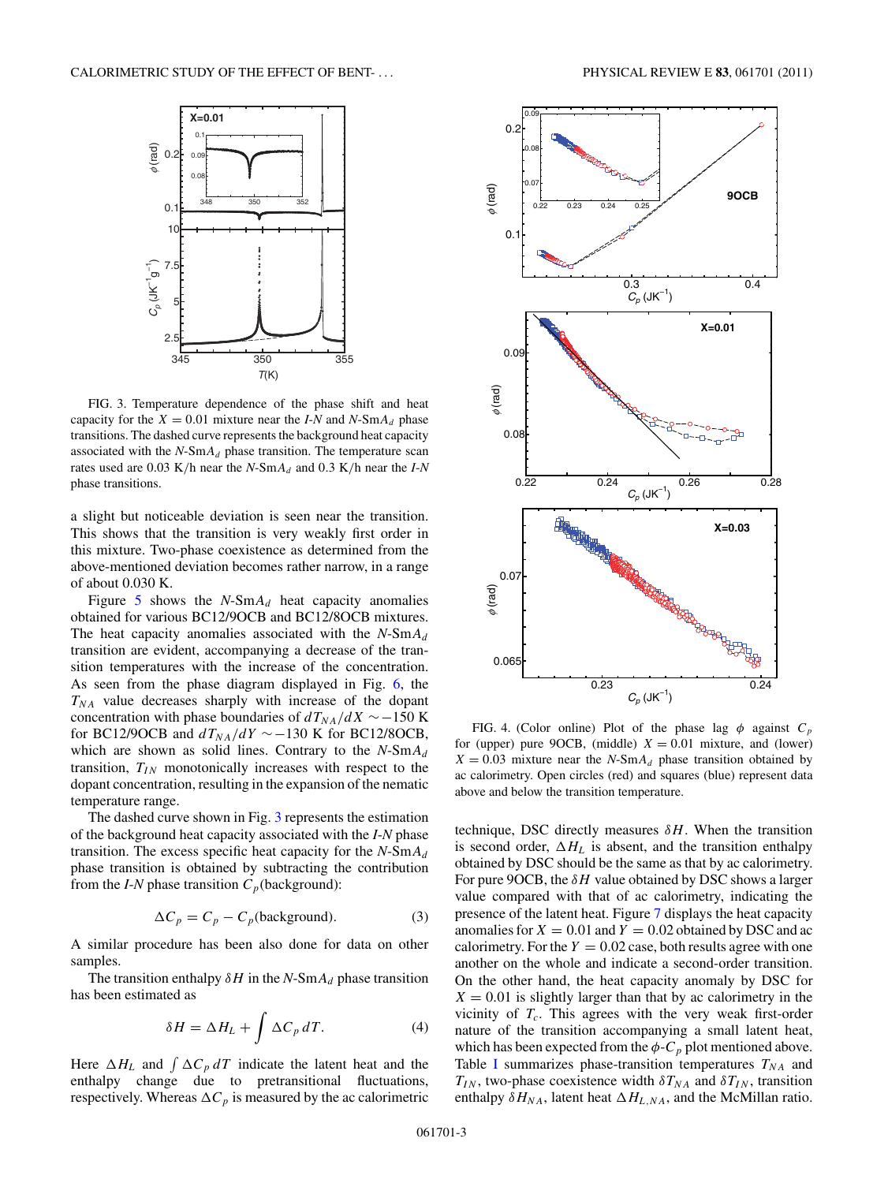<span id="page-2-0"></span>

FIG. 3. Temperature dependence of the phase shift and heat capacity for the  $X = 0.01$  mixture near the *I-N* and *N*-Sm $A_d$  phase transitions. The dashed curve represents the background heat capacity associated with the  $N$ -Sm $A_d$  phase transition. The temperature scan rates used are 0.03 K/h near the  $N$ -Sm $A_d$  and 0.3 K/h near the *I*-*N* phase transitions.

a slight but noticeable deviation is seen near the transition. This shows that the transition is very weakly first order in this mixture. Two-phase coexistence as determined from the above-mentioned deviation becomes rather narrow, in a range of about 0.030 K.

Figure  $5$  shows the  $N$ -Sm $A_d$  heat capacity anomalies obtained for various BC12/9OCB and BC12/8OCB mixtures. The heat capacity anomalies associated with the *N*-Sm*Ad* transition are evident, accompanying a decrease of the transition temperatures with the increase of the concentration. As seen from the phase diagram displayed in Fig. [6,](#page-3-0) the  $T_{NA}$  value decreases sharply with increase of the dopant concentration with phase boundaries of  $dT_{NA}/dX$  ∼−150 K for BC12/9OCB and  $dT_{NA}/dY \sim -130$  K for BC12/8OCB, which are shown as solid lines. Contrary to the *N*-Sm*Ad* transition,  $T_{IN}$  monotonically increases with respect to the dopant concentration, resulting in the expansion of the nematic temperature range.

The dashed curve shown in Fig. 3 represents the estimation of the background heat capacity associated with the *I*-*N* phase transition. The excess specific heat capacity for the  $N-SmA_d$ phase transition is obtained by subtracting the contribution from the *I-N* phase transition  $C_p$ (background):

$$
\Delta C_p = C_p - C_p(\text{background}).\tag{3}
$$

A similar procedure has been also done for data on other samples.

The transition enthalpy  $\delta H$  in the *N*-Sm $A_d$  phase transition has been estimated as

$$
\delta H = \Delta H_L + \int \Delta C_p \, dT. \tag{4}
$$

Here  $\Delta H_L$  and  $\int \Delta C_p dT$  indicate the latent heat and the enthalpy change due to pretransitional fluctuations, respectively. Whereas  $\Delta C_p$  is measured by the ac calorimetric





FIG. 4. (Color online) Plot of the phase lag  $\phi$  against  $C_p$ for (upper) pure 9OCB, (middle)  $X = 0.01$  mixture, and (lower)  $X = 0.03$  mixture near the *N*-Sm $A_d$  phase transition obtained by ac calorimetry. Open circles (red) and squares (blue) represent data above and below the transition temperature.

technique, DSC directly measures  $\delta H$ . When the transition is second order,  $\Delta H_L$  is absent, and the transition enthalpy obtained by DSC should be the same as that by ac calorimetry. For pure 9OCB, the *δH* value obtained by DSC shows a larger value compared with that of ac calorimetry, indicating the presence of the latent heat. Figure [7](#page-3-0) displays the heat capacity anomalies for  $X = 0.01$  and  $Y = 0.02$  obtained by DSC and ac calorimetry. For the  $Y = 0.02$  case, both results agree with one another on the whole and indicate a second-order transition. On the other hand, the heat capacity anomaly by DSC for  $X = 0.01$  is slightly larger than that by ac calorimetry in the vicinity of  $T_c$ . This agrees with the very weak first-order nature of the transition accompanying a small latent heat, which has been expected from the  $\phi$ - $C_p$  plot mentioned above. Table [I](#page-4-0) summarizes phase-transition temperatures  $T_{NA}$  and  $T_{IN}$ , two-phase coexistence width  $\delta T_{NA}$  and  $\delta T_{IN}$ , transition enthalpy  $\delta H_{NA}$ , latent heat  $\Delta H_{L,NA}$ , and the McMillan ratio.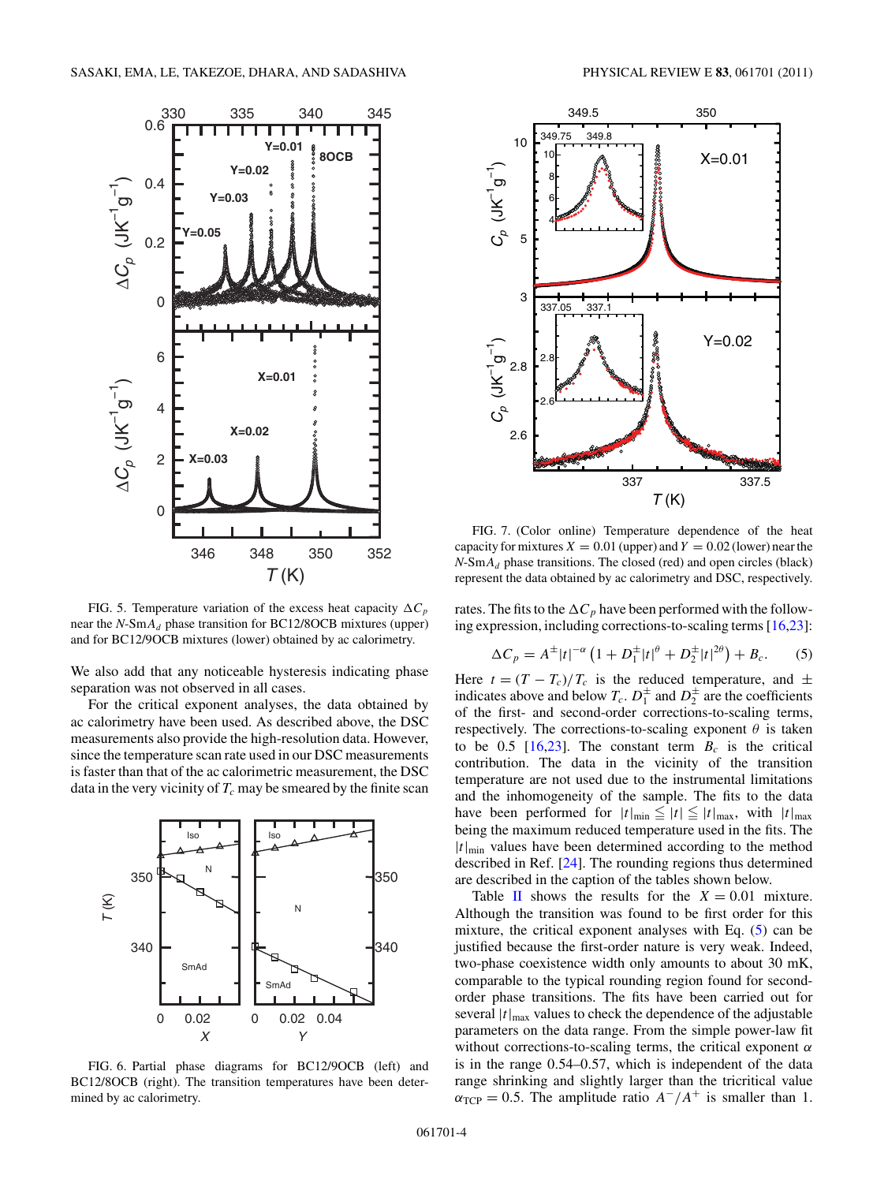<span id="page-3-0"></span>

FIG. 5. Temperature variation of the excess heat capacity  $\Delta C_p$ near the *N*-Sm*Ad* phase transition for BC12/8OCB mixtures (upper) and for BC12/9OCB mixtures (lower) obtained by ac calorimetry.

We also add that any noticeable hysteresis indicating phase separation was not observed in all cases.

For the critical exponent analyses, the data obtained by ac calorimetry have been used. As described above, the DSC measurements also provide the high-resolution data. However, since the temperature scan rate used in our DSC measurements is faster than that of the ac calorimetric measurement, the DSC data in the very vicinity of  $T_c$  may be smeared by the finite scan



FIG. 6. Partial phase diagrams for BC12/9OCB (left) and BC12/8OCB (right). The transition temperatures have been determined by ac calorimetry.



FIG. 7. (Color online) Temperature dependence of the heat capacity for mixtures  $X = 0.01$  (upper) and  $Y = 0.02$  (lower) near the  $N-SmA_d$  phase transitions. The closed (red) and open circles (black) represent the data obtained by ac calorimetry and DSC, respectively.

rates. The fits to the  $\Delta C_p$  have been performed with the following expression, including corrections-to-scaling terms [\[16,23\]](#page-8-0):

$$
\Delta C_p = A^{\pm} |t|^{-\alpha} \left( 1 + D_1^{\pm} |t|^{\theta} + D_2^{\pm} |t|^{2\theta} \right) + B_c.
$$
 (5)

Here  $t = (T - T_c)/T_c$  is the reduced temperature, and  $\pm$ indicates above and below  $T_c$ .  $D_1^{\pm}$  and  $D_2^{\pm}$  are the coefficients of the first- and second-order corrections-to-scaling terms, respectively. The corrections-to-scaling exponent  $\theta$  is taken to be 0.5  $[16,23]$ . The constant term  $B_c$  is the critical contribution. The data in the vicinity of the transition temperature are not used due to the instrumental limitations and the inhomogeneity of the sample. The fits to the data have been performed for  $|t|_{\text{min}} \le |t| \le |t|_{\text{max}}$ , with  $|t|_{\text{max}}$ being the maximum reduced temperature used in the fits. The  $|t|_{\text{min}}$  values have been determined according to the method described in Ref. [\[24\]](#page-8-0). The rounding regions thus determined are described in the caption of the tables shown below.

Table [II](#page-4-0) shows the results for the  $X = 0.01$  mixture. Although the transition was found to be first order for this mixture, the critical exponent analyses with Eq. (5) can be justified because the first-order nature is very weak. Indeed, two-phase coexistence width only amounts to about 30 mK, comparable to the typical rounding region found for secondorder phase transitions. The fits have been carried out for several  $|t|_{\text{max}}$  values to check the dependence of the adjustable parameters on the data range. From the simple power-law fit without corrections-to-scaling terms, the critical exponent *α* is in the range 0*.*54–0*.*57, which is independent of the data range shrinking and slightly larger than the tricritical value  $\alpha_{\text{TCP}} = 0.5$ . The amplitude ratio  $A^{-}/A^{+}$  is smaller than 1.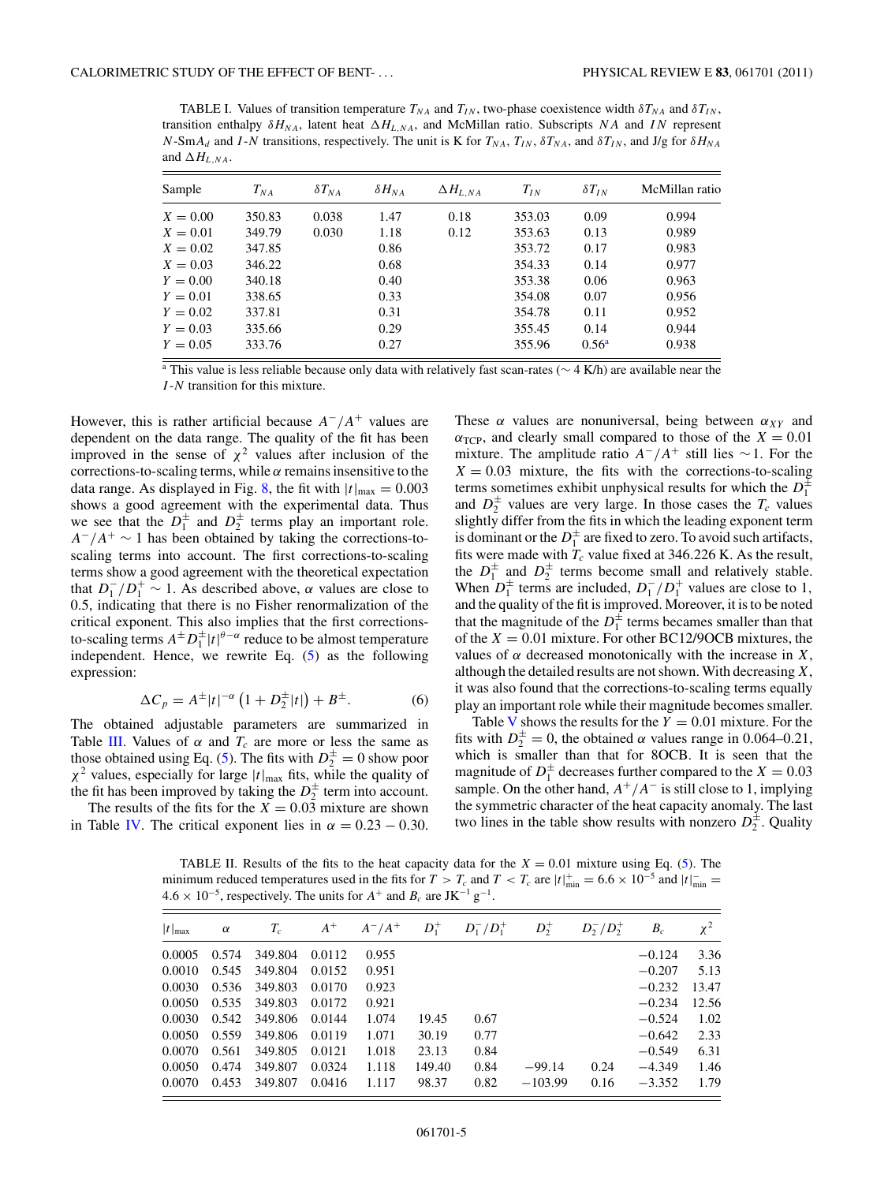<span id="page-4-0"></span>TABLE I. Values of transition temperature  $T_{NA}$  and  $T_{IN}$ , two-phase coexistence width  $\delta T_{NA}$  and  $\delta T_{IN}$ , transition enthalpy  $\delta H_{NA}$ , latent heat  $\Delta H_{L,NA}$ , and McMillan ratio. Subscripts *NA* and *IN* represent  $N$ -Sm $A_d$  and *I*-*N* transitions, respectively. The unit is K for  $T_{NA}$ ,  $T_{IN}$ ,  $\delta T_{NA}$ , and  $\delta T_{IN}$ , and J/g for  $\delta H_{NA}$ and  $\Delta H_{L,NA}$ .

| Sample     | $T_{NA}$ | $\delta T_{NA}$ | $\delta H_{NA}$ | $\Delta H_{L,NA}$ | $T_{IN}$ | $\delta T_{IN}$   | McMillan ratio |
|------------|----------|-----------------|-----------------|-------------------|----------|-------------------|----------------|
| $X = 0.00$ | 350.83   | 0.038           | 1.47            | 0.18              | 353.03   | 0.09              | 0.994          |
| $X = 0.01$ | 349.79   | 0.030           | 1.18            | 0.12              | 353.63   | 0.13              | 0.989          |
| $X = 0.02$ | 347.85   |                 | 0.86            |                   | 353.72   | 0.17              | 0.983          |
| $X = 0.03$ | 346.22   |                 | 0.68            |                   | 354.33   | 0.14              | 0.977          |
| $Y = 0.00$ | 340.18   |                 | 0.40            |                   | 353.38   | 0.06              | 0.963          |
| $Y = 0.01$ | 338.65   |                 | 0.33            |                   | 354.08   | 0.07              | 0.956          |
| $Y = 0.02$ | 337.81   |                 | 0.31            |                   | 354.78   | 0.11              | 0.952          |
| $Y = 0.03$ | 335.66   |                 | 0.29            |                   | 355.45   | 0.14              | 0.944          |
| $Y = 0.05$ | 333.76   |                 | 0.27            |                   | 355.96   | 0.56 <sup>a</sup> | 0.938          |

<sup>a</sup> This value is less reliable because only data with relatively fast scan-rates ( $\sim$  4 K/h) are available near the *I* -*N* transition for this mixture.

However, this is rather artificial because  $A^-/A^+$  values are dependent on the data range. The quality of the fit has been improved in the sense of  $\chi^2$  values after inclusion of the corrections-to-scaling terms, while *α* remains insensitive to the data range. As displayed in Fig. [8,](#page-5-0) the fit with  $|t|_{\text{max}} = 0.003$ shows a good agreement with the experimental data. Thus we see that the  $D_1^{\pm}$  and  $D_2^{\pm}$  terms play an important role. *A*−*/A*<sup>+</sup> ∼ 1 has been obtained by taking the corrections-toscaling terms into account. The first corrections-to-scaling terms show a good agreement with the theoretical expectation that  $D_1^-/D_1^+ \sim 1$ . As described above,  $\alpha$  values are close to 0.5, indicating that there is no Fisher renormalization of the critical exponent. This also implies that the first correctionsto-scaling terms  $A^{\pm}D_1^{\pm}|t|^{\theta-\alpha}$  reduce to be almost temperature independent. Hence, we rewrite Eq. [\(5\)](#page-3-0) as the following expression:

$$
\Delta C_p = A^{\pm} |t|^{-\alpha} \left( 1 + D_2^{\pm} |t| \right) + B^{\pm}.
$$
 (6)

The obtained adjustable parameters are summarized in Table [III.](#page-5-0) Values of  $\alpha$  and  $T_c$  are more or less the same as those obtained using Eq. [\(5\)](#page-3-0). The fits with  $D_2^{\pm} = 0$  show poor  $\chi^2$  values, especially for large  $|t|_{\text{max}}$  fits, while the quality of the fit has been improved by taking the  $D_2^{\pm}$  term into account.

The results of the fits for the  $X = 0.03$  mixture are shown in Table [IV.](#page-6-0) The critical exponent lies in  $\alpha = 0.23 - 0.30$ . These  $\alpha$  values are nonuniversal, being between  $\alpha_{XY}$  and  $\alpha_{\text{TCP}}$ , and clearly small compared to those of the *X* = 0.01 mixture. The amplitude ratio  $A^-/A^+$  still lies ~1. For the  $X = 0.03$  mixture, the fits with the corrections-to-scaling terms sometimes exhibit unphysical results for which the  $D_1^{\pm}$ and  $D_2^{\pm}$  values are very large. In those cases the  $T_c$  values slightly differ from the fits in which the leading exponent term is dominant or the  $D_1^{\pm}$  are fixed to zero. To avoid such artifacts, fits were made with  $T_c$  value fixed at 346.226 K. As the result, the  $D_1^{\pm}$  and  $D_2^{\pm}$  terms become small and relatively stable. When  $D_1^{\pm}$  terms are included,  $D_1^- / D_1^+$  values are close to 1, and the quality of the fit is improved. Moreover, it is to be noted that the magnitude of the  $D_1^{\pm}$  terms becames smaller than that of the *X* = 0*.*01 mixture. For other BC12/9OCB mixtures, the values of  $\alpha$  decreased monotonically with the increase in *X*, although the detailed results are not shown. With decreasing *X*, it was also found that the corrections-to-scaling terms equally play an important role while their magnitude becomes smaller.

Table [V](#page-6-0) shows the results for the  $Y = 0.01$  mixture. For the fits with  $D_2^{\pm} = 0$ , the obtained  $\alpha$  values range in 0.064–0.21, which is smaller than that for 8OCB. It is seen that the magnitude of  $D_1^{\pm}$  decreases further compared to the  $X = 0.03$ sample. On the other hand,  $A^+/A^-$  is still close to 1, implying the symmetric character of the heat capacity anomaly. The last two lines in the table show results with nonzero  $D_2^{\pm}$ . Quality

TABLE II. Results of the fits to the heat capacity data for the  $X = 0.01$  mixture using Eq. [\(5\)](#page-3-0). The minimum reduced temperatures used in the fits for  $T > T_c$  and  $T < T_c$  are  $|t|^+_{\text{min}} = 6.6 \times 10^{-5}$  and  $|t|^-\text{min}} =$  $4.6 \times 10^{-5}$ , respectively. The units for  $A^+$  and  $B_c$  are JK<sup>-1</sup> g<sup>-1</sup>.

| $ t _{\max}$         | $\alpha$ | $T_c$          |        | $A^+$ $A^- / A^+$ $D_1^+$ |        | $D_{1}^{-}/D_{1}^{+}$ | $D_2^+$   | $D_2^-/D_2^+$ | $B_c$    | $\chi^2$ |
|----------------------|----------|----------------|--------|---------------------------|--------|-----------------------|-----------|---------------|----------|----------|
|                      |          |                |        |                           |        |                       |           |               |          |          |
| 0.0005               | 0.574    | 349.804        | 0.0112 | 0.955                     |        |                       |           |               | $-0.124$ | 3.36     |
| $0.0010 \quad 0.545$ |          | 349.804        | 0.0152 | 0.951                     |        |                       |           |               | $-0.207$ | 5.13     |
| 0.0030 0.536         |          | 349.803        | 0.0170 | 0.923                     |        |                       |           |               | $-0.232$ | 13.47    |
| $0.0050$ $0.535$     |          | 349.803        | 0.0172 | 0.921                     |        |                       |           |               | $-0.234$ | 12.56    |
| $0.0030 \quad 0.542$ |          | 349.806 0.0144 |        | 1.074                     | 19.45  | 0.67                  |           |               | $-0.524$ | 1.02     |
| 0.0050 0.559         |          | 349.806 0.0119 |        | 1.071                     | 30.19  | 0.77                  |           |               | $-0.642$ | 2.33     |
| 0.0070               | 0.561    | 349.805        | 0.0121 | 1.018                     | 23.13  | 0.84                  |           |               | $-0.549$ | 6.31     |
| 0.0050               | 0.474    | 349.807        | 0.0324 | 1.118                     | 149.40 | 0.84                  | $-99.14$  | 0.24          | $-4.349$ | 1.46     |
| 0.0070               | 0.453    | 349.807        | 0.0416 | 1.117                     | 98.37  | 0.82                  | $-103.99$ | 0.16          | $-3.352$ | 1.79     |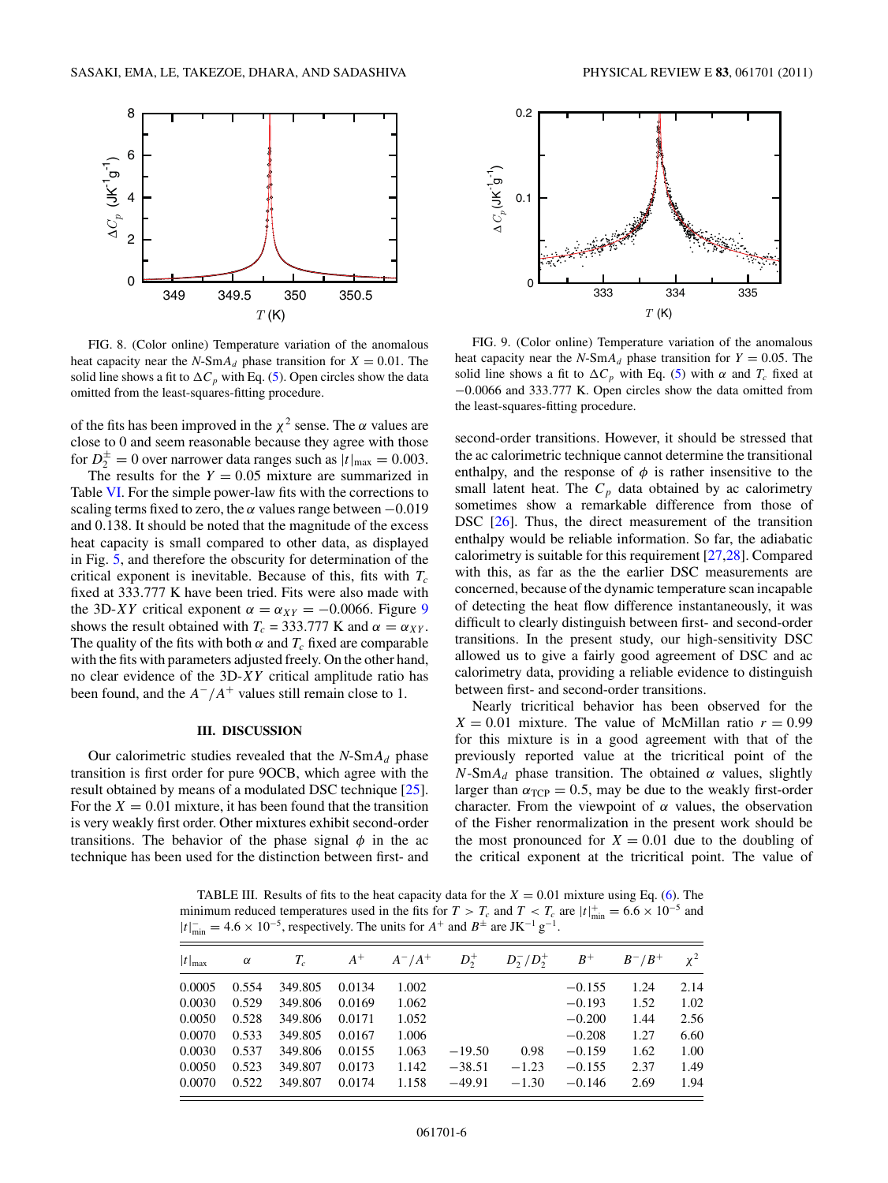<span id="page-5-0"></span>

FIG. 8. (Color online) Temperature variation of the anomalous heat capacity near the *N*-Sm $A_d$  phase transition for  $X = 0.01$ . The solid line shows a fit to  $\Delta C_p$  with Eq. [\(5\)](#page-3-0). Open circles show the data omitted from the least-squares-fitting procedure.

of the fits has been improved in the  $\chi^2$  sense. The  $\alpha$  values are close to 0 and seem reasonable because they agree with those for  $D_2^{\pm} = 0$  over narrower data ranges such as  $|t|_{\text{max}} = 0.003$ .

The results for the  $Y = 0.05$  mixture are summarized in Table [VI.](#page-7-0) For the simple power-law fits with the corrections to scaling terms fixed to zero, the  $\alpha$  values range between  $-0.019$ and 0*.*138. It should be noted that the magnitude of the excess heat capacity is small compared to other data, as displayed in Fig. [5,](#page-3-0) and therefore the obscurity for determination of the critical exponent is inevitable. Because of this, fits with  $T_c$ fixed at 333*.*777 K have been tried. Fits were also made with the 3D-*XY* critical exponent  $\alpha = \alpha_{XY} = -0.0066$ . Figure 9 shows the result obtained with  $T_c = 333.777$  K and  $\alpha = \alpha_{XY}$ . The quality of the fits with both  $\alpha$  and  $T_c$  fixed are comparable with the fits with parameters adjusted freely. On the other hand, no clear evidence of the 3D-*XY* critical amplitude ratio has been found, and the  $A^-/A^+$  values still remain close to 1.

#### **III. DISCUSSION**

Our calorimetric studies revealed that the  $N$ -Sm $A_d$  phase transition is first order for pure 9OCB, which agree with the result obtained by means of a modulated DSC technique [\[25\]](#page-8-0). For the  $X = 0.01$  mixture, it has been found that the transition is very weakly first order. Other mixtures exhibit second-order transitions. The behavior of the phase signal  $\phi$  in the ac technique has been used for the distinction between first- and



FIG. 9. (Color online) Temperature variation of the anomalous heat capacity near the *N*-Sm $A_d$  phase transition for  $Y = 0.05$ . The solid line shows a fit to  $\Delta C_p$  with Eq. [\(5\)](#page-3-0) with  $\alpha$  and  $T_c$  fixed at −0*.*0066 and 333*.*777 K. Open circles show the data omitted from the least-squares-fitting procedure.

second-order transitions. However, it should be stressed that the ac calorimetric technique cannot determine the transitional enthalpy, and the response of  $\phi$  is rather insensitive to the small latent heat. The  $C_p$  data obtained by ac calorimetry sometimes show a remarkable difference from those of DSC [\[26\]](#page-8-0). Thus, the direct measurement of the transition enthalpy would be reliable information. So far, the adiabatic calorimetry is suitable for this requirement [\[27,28\]](#page-8-0). Compared with this, as far as the the earlier DSC measurements are concerned, because of the dynamic temperature scan incapable of detecting the heat flow difference instantaneously, it was difficult to clearly distinguish between first- and second-order transitions. In the present study, our high-sensitivity DSC allowed us to give a fairly good agreement of DSC and ac calorimetry data, providing a reliable evidence to distinguish between first- and second-order transitions.

Nearly tricritical behavior has been observed for the  $X = 0.01$  mixture. The value of McMillan ratio  $r = 0.99$ for this mixture is in a good agreement with that of the previously reported value at the tricritical point of the  $N$ -Sm $A_d$  phase transition. The obtained  $\alpha$  values, slightly larger than  $\alpha_{\text{TCP}} = 0.5$ , may be due to the weakly first-order character. From the viewpoint of *α* values, the observation of the Fisher renormalization in the present work should be the most pronounced for  $X = 0.01$  due to the doubling of the critical exponent at the tricritical point. The value of

TABLE III. Results of fits to the heat capacity data for the  $X = 0.01$  mixture using Eq. [\(6\)](#page-4-0). The minimum reduced temperatures used in the fits for  $T > T_c$  and  $T < T_c$  are  $|t|^+_{min} = 6.6 \times 10^{-5}$  and  $|t|_{\text{min}}^{\text{-}} = 4.6 \times 10^{-5}$ , respectively. The units for  $A^+$  and  $B^{\pm}$  are JK<sup>-1</sup> g<sup>-1</sup>.

| $ t _{\max}$ | $\alpha$ | $T_c$   | $A^+$  | $A^-/A^+$ | $D_2^+$  | $D_2^-/D_2^+$ | $B^+$    | $B^-/B^+$ | $\chi^2$ |
|--------------|----------|---------|--------|-----------|----------|---------------|----------|-----------|----------|
| 0.0005       | 0.554    | 349.805 | 0.0134 | 1.002     |          |               | $-0.155$ | 1.24      | 2.14     |
| 0.0030       | 0.529    | 349.806 | 0.0169 | 1.062     |          |               | $-0.193$ | 1.52      | 1.02     |
| 0.0050       | 0.528    | 349.806 | 0.0171 | 1.052     |          |               | $-0.200$ | 1.44      | 2.56     |
| 0.0070       | 0.533    | 349.805 | 0.0167 | 1.006     |          |               | $-0.208$ | 1.27      | 6.60     |
| 0.0030       | 0.537    | 349.806 | 0.0155 | 1.063     | $-19.50$ | 0.98          | $-0.159$ | 1.62      | 1.00     |
| 0.0050       | 0.523    | 349.807 | 0.0173 | 1.142     | $-38.51$ | $-1.23$       | $-0.155$ | 2.37      | 1.49     |
| 0.0070       | 0.522    | 349.807 | 0.0174 | 1.158     | $-49.91$ | $-1.30$       | $-0.146$ | 2.69      | 1.94     |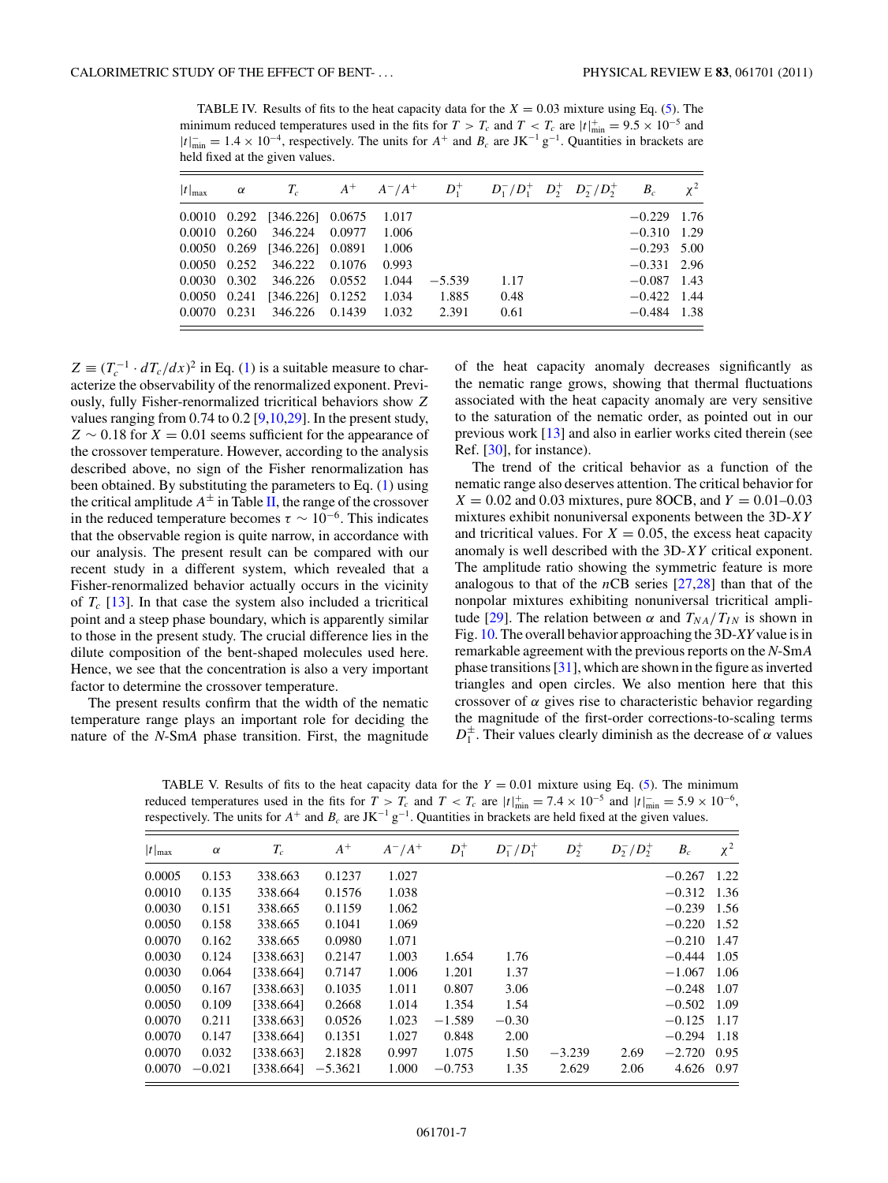<span id="page-6-0"></span>TABLE IV. Results of fits to the heat capacity data for the  $X = 0.03$  mixture using Eq. [\(5\)](#page-3-0). The minimum reduced temperatures used in the fits for  $T > T_c$  and  $T < T_c$  are  $|t|^+_{min} = 9.5 \times 10^{-5}$  and  $|t|_{\text{min}}^{\text{-}} = 1.4 \times 10^{-4}$ , respectively. The units for  $A^+$  and  $B_c$  are JK<sup>-1</sup> g<sup>-1</sup>. Quantities in brackets are held fixed at the given values.

|  | $ t _{\text{max}}$ $\alpha$ $T_c$ $A^+$ $A^-/A^+$ $D_1^+$ $D_1^-/D_1^+$ $D_2^+$ $D_2^-/D_2^+$ $B_c$ $\chi^2$ |       |          |      |  |               |  |
|--|--------------------------------------------------------------------------------------------------------------|-------|----------|------|--|---------------|--|
|  | $0.0010$ $0.292$ $[346.226]$ $0.0675$ $1.017$                                                                |       |          |      |  | $-0.229$ 1.76 |  |
|  | 0.0010 0.260 346.224 0.0977 1.006                                                                            |       |          |      |  | $-0.310$ 1.29 |  |
|  | 0.0050 0.269 [346.226] 0.0891 1.006                                                                          |       |          |      |  | $-0.293$ 5.00 |  |
|  | 0.0050 0.252 346.222 0.1076                                                                                  | 0.993 |          |      |  | $-0.331$ 2.96 |  |
|  | 0.0030 0.302 346.226 0.0552 1.044                                                                            |       | $-5.539$ | 1.17 |  | $-0.087$ 1.43 |  |
|  | 0.0050 0.241 [346.226] 0.1252 1.034                                                                          |       | 1.885    | 0.48 |  | $-0.422$ 1.44 |  |
|  | 0.0070 0.231 346.226 0.1439 1.032                                                                            |       | 2.391    | 0.61 |  | $-0.484$ 1.38 |  |

 $Z \equiv (T_c^{-1} \cdot dT_c/dx)^2$  in Eq. [\(1\)](#page-0-0) is a suitable measure to characterize the observability of the renormalized exponent. Previously, fully Fisher-renormalized tricritical behaviors show *Z* values ranging from 0.74 to 0.2 [\[9,10,29\]](#page-8-0). In the present study, *Z* ∼ 0*.*18 for *X* = 0*.*01 seems sufficient for the appearance of the crossover temperature. However, according to the analysis described above, no sign of the Fisher renormalization has been obtained. By substituting the parameters to Eq.  $(1)$  using the critical amplitude  $A^{\pm}$  in Table [II,](#page-4-0) the range of the crossover in the reduced temperature becomes  $\tau \sim 10^{-6}$ . This indicates that the observable region is quite narrow, in accordance with our analysis. The present result can be compared with our recent study in a different system, which revealed that a Fisher-renormalized behavior actually occurs in the vicinity of  $T_c$  [\[13\]](#page-8-0). In that case the system also included a tricritical point and a steep phase boundary, which is apparently similar to those in the present study. The crucial difference lies in the dilute composition of the bent-shaped molecules used here. Hence, we see that the concentration is also a very important factor to determine the crossover temperature.

The present results confirm that the width of the nematic temperature range plays an important role for deciding the nature of the *N*-Sm*A* phase transition. First, the magnitude

of the heat capacity anomaly decreases significantly as the nematic range grows, showing that thermal fluctuations associated with the heat capacity anomaly are very sensitive to the saturation of the nematic order, as pointed out in our previous work [\[13\]](#page-8-0) and also in earlier works cited therein (see Ref. [\[30\]](#page-8-0), for instance).

The trend of the critical behavior as a function of the nematic range also deserves attention. The critical behavior for  $X = 0.02$  and 0.03 mixtures, pure 8OCB, and  $Y = 0.01 - 0.03$ mixtures exhibit nonuniversal exponents between the 3D-*XY* and tricritical values. For  $X = 0.05$ , the excess heat capacity anomaly is well described with the 3D-*XY* critical exponent. The amplitude ratio showing the symmetric feature is more analogous to that of the *n*CB series [\[27,28\]](#page-8-0) than that of the nonpolar mixtures exhibiting nonuniversal tricritical ampli-tude [\[29\]](#page-8-0). The relation between  $\alpha$  and  $T_{NA}/T_{IN}$  is shown in Fig. [10.](#page-7-0) The overall behavior approaching the 3D-*XY* value is in remarkable agreement with the previous reports on the *N*-Sm*A* phase transitions [\[31\]](#page-8-0), which are shown in the figure as inverted triangles and open circles. We also mention here that this crossover of *α* gives rise to characteristic behavior regarding the magnitude of the first-order corrections-to-scaling terms  $D_1^{\pm}$ . Their values clearly diminish as the decrease of  $\alpha$  values

TABLE V. Results of fits to the heat capacity data for the  $Y = 0.01$  mixture using Eq. [\(5\)](#page-3-0). The minimum reduced temperatures used in the fits for  $T > T_c$  and  $T < T_c$  are  $|t|_{\text{min}}^+ = 7.4 \times 10^{-5}$  and  $|t|_{\text{min}}^- = 5.9 \times 10^{-6}$ , respectively. The units for  $A^+$  and  $B_c$  are JK<sup>-1</sup> g<sup>-1</sup>. Quantities in brackets are held fixed at the given values.

| $ t _{\max}$ | $\alpha$ | $T_c$     | $A^+$     | $A^-/A^+$ | $D_1^+$  | $D_1^-/D_1^+$ | $D_2^+$  | $D_2^-/D_2^+$ | $B_c$         | $\chi^2$ |
|--------------|----------|-----------|-----------|-----------|----------|---------------|----------|---------------|---------------|----------|
| 0.0005       | 0.153    | 338.663   | 0.1237    | 1.027     |          |               |          |               | $-0.267$ 1.22 |          |
| 0.0010       | 0.135    | 338.664   | 0.1576    | 1.038     |          |               |          |               | $-0.312$ 1.36 |          |
| 0.0030       | 0.151    | 338.665   | 0.1159    | 1.062     |          |               |          |               | $-0.239$ 1.56 |          |
| 0.0050       | 0.158    | 338.665   | 0.1041    | 1.069     |          |               |          |               | $-0.220$ 1.52 |          |
| 0.0070       | 0.162    | 338.665   | 0.0980    | 1.071     |          |               |          |               | $-0.210$ 1.47 |          |
| 0.0030       | 0.124    | [338.663] | 0.2147    | 1.003     | 1.654    | 1.76          |          |               | $-0.444$ 1.05 |          |
| 0.0030       | 0.064    | [338.664] | 0.7147    | 1.006     | 1.201    | 1.37          |          |               | $-1.067$ 1.06 |          |
| 0.0050       | 0.167    | [338.663] | 0.1035    | 1.011     | 0.807    | 3.06          |          |               | $-0.248$      | - 1.07   |
| 0.0050       | 0.109    | [338.664] | 0.2668    | 1.014     | 1.354    | 1.54          |          |               | $-0.502$ 1.09 |          |
| 0.0070       | 0.211    | [338.663] | 0.0526    | 1.023     | $-1.589$ | $-0.30$       |          |               | $-0.125$ 1.17 |          |
| 0.0070       | 0.147    | [338.664] | 0.1351    | 1.027     | 0.848    | 2.00          |          |               | $-0.294$ 1.18 |          |
| 0.0070       | 0.032    | [338.663] | 2.1828    | 0.997     | 1.075    | 1.50          | $-3.239$ | 2.69          | $-2.720$ 0.95 |          |
| 0.0070       | $-0.021$ | [338.664] | $-5.3621$ | 1.000     | $-0.753$ | 1.35          | 2.629    | 2.06          | 4.626 0.97    |          |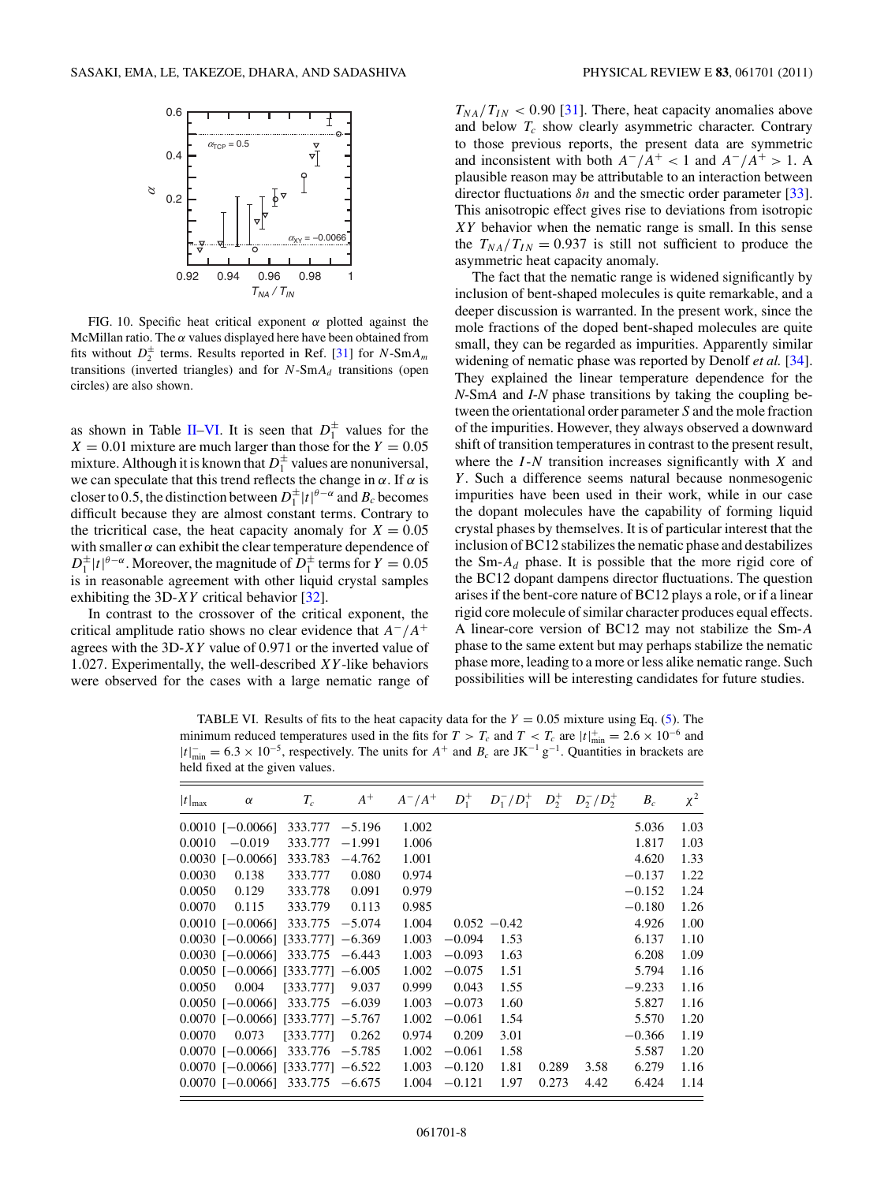<span id="page-7-0"></span>

FIG. 10. Specific heat critical exponent *α* plotted against the McMillan ratio. The  $\alpha$  values displayed here have been obtained from fits without  $D_2^{\pm}$  terms. Results reported in Ref. [\[31\]](#page-8-0) for *N*-Sm $A_m$ transitions (inverted triangles) and for  $N$ -Sm $A_d$  transitions (open circles) are also shown.

as shown in Table [II–](#page-4-0)VI. It is seen that  $D_1^{\pm}$  values for the  $X = 0.01$  mixture are much larger than those for the  $Y = 0.05$ mixture. Although it is known that  $D_1^{\pm}$  values are nonuniversal, we can speculate that this trend reflects the change in  $\alpha$ . If  $\alpha$  is closer to 0.5, the distinction between  $D_1^{\pm} |t|^{\theta-\alpha}$  and  $B_c$  becomes difficult because they are almost constant terms. Contrary to the tricritical case, the heat capacity anomaly for  $X = 0.05$ with smaller  $\alpha$  can exhibit the clear temperature dependence of  $D_1^{\pm} |t|^{\theta-\alpha}$ . Moreover, the magnitude of  $D_1^{\pm}$  terms for  $Y = 0.05$ is in reasonable agreement with other liquid crystal samples exhibiting the 3D-*XY* critical behavior [\[32\]](#page-8-0).

In contrast to the crossover of the critical exponent, the critical amplitude ratio shows no clear evidence that *A*−*/A*<sup>+</sup> agrees with the 3D-*XY* value of 0*.*971 or the inverted value of 1*.*027. Experimentally, the well-described *XY* -like behaviors were observed for the cases with a large nematic range of

 $T_{NA}/T_{IN}$  < 0.90 [\[31\]](#page-8-0). There, heat capacity anomalies above and below *Tc* show clearly asymmetric character. Contrary to those previous reports, the present data are symmetric and inconsistent with both  $A^-/A^+ < 1$  and  $A^-/A^+ > 1$ . A plausible reason may be attributable to an interaction between director fluctuations *δn* and the smectic order parameter [\[33\]](#page-8-0). This anisotropic effect gives rise to deviations from isotropic *XY* behavior when the nematic range is small. In this sense the  $T_{NA}/T_{IN} = 0.937$  is still not sufficient to produce the asymmetric heat capacity anomaly.

The fact that the nematic range is widened significantly by inclusion of bent-shaped molecules is quite remarkable, and a deeper discussion is warranted. In the present work, since the mole fractions of the doped bent-shaped molecules are quite small, they can be regarded as impurities. Apparently similar widening of nematic phase was reported by Denolf *et al.* [\[34\]](#page-8-0). They explained the linear temperature dependence for the *N*-Sm*A* and *I*-*N* phase transitions by taking the coupling between the orientational order parameter *S* and the mole fraction of the impurities. However, they always observed a downward shift of transition temperatures in contrast to the present result, where the *I* -*N* transition increases significantly with *X* and *Y* . Such a difference seems natural because nonmesogenic impurities have been used in their work, while in our case the dopant molecules have the capability of forming liquid crystal phases by themselves. It is of particular interest that the inclusion of BC12 stabilizes the nematic phase and destabilizes the Sm-*Ad* phase. It is possible that the more rigid core of the BC12 dopant dampens director fluctuations. The question arises if the bent-core nature of BC12 plays a role, or if a linear rigid core molecule of similar character produces equal effects. A linear-core version of BC12 may not stabilize the Sm-*A* phase to the same extent but may perhaps stabilize the nematic phase more, leading to a more or less alike nematic range. Such possibilities will be interesting candidates for future studies.

TABLE VI. Results of fits to the heat capacity data for the  $Y = 0.05$  mixture using Eq. [\(5\)](#page-3-0). The minimum reduced temperatures used in the fits for  $T > T_c$  and  $T < T_c$  are  $|t|^+_{min} = 2.6 \times 10^{-6}$  and  $|t|_{\text{min}}^{\text{-}} = 6.3 \times 10^{-5}$ , respectively. The units for  $A^+$  and  $B_c$  are JK<sup>-1</sup> g<sup>-1</sup>. Quantities in brackets are held fixed at the given values.

| $ t _{\max}$ | $\alpha$                            | $T_c$     | $A^+$    | $A^-/A^+$ | $D_1^+$  |               |       | $D_1^-/D_1^+$ $D_2^+$ $D_2^-/D_2^+$ | $B_c$    | $\chi^2$ |
|--------------|-------------------------------------|-----------|----------|-----------|----------|---------------|-------|-------------------------------------|----------|----------|
|              | $0.0010$ [-0.0066]                  | 333.777   | $-5.196$ | 1.002     |          |               |       |                                     | 5.036    | 1.03     |
| 0.0010       | $-0.019$                            | 333.777   | $-1.991$ | 1.006     |          |               |       |                                     | 1.817    | 1.03     |
|              | $0.0030$ [-0.0066]                  | 333.783   | $-4.762$ | 1.001     |          |               |       |                                     | 4.620    | 1.33     |
| 0.0030       | 0.138                               | 333.777   | 0.080    | 0.974     |          |               |       |                                     | $-0.137$ | 1.22     |
| 0.0050       | 0.129                               | 333.778   | 0.091    | 0.979     |          |               |       |                                     | $-0.152$ | 1.24     |
| 0.0070       | 0.115                               | 333.779   | 0.113    | 0.985     |          |               |       |                                     | $-0.180$ | 1.26     |
|              | $0.0010$ [-0.0066] 333.775 -5.074   |           |          | 1.004     |          | $0.052 -0.42$ |       |                                     | 4.926    | 1.00     |
|              | $0.0030$ [-0.0066] [333.777] -6.369 |           |          | 1.003     | $-0.094$ | 1.53          |       |                                     | 6.137    | 1.10     |
|              | $0.0030$ [-0.0066] 333.775 -6.443   |           |          | 1.003     | $-0.093$ | 1.63          |       |                                     | 6.208    | 1.09     |
|              | $0.0050$ [-0.0066] [333.777] -6.005 |           |          | 1.002     | $-0.075$ | 1.51          |       |                                     | 5.794    | 1.16     |
| 0.0050       | 0.004                               | [333.777] | 9.037    | 0.999     | 0.043    | 1.55          |       |                                     | $-9.233$ | 1.16     |
|              | $0.0050$ [-0.0066] 333.775 -6.039   |           |          | 1.003     | $-0.073$ | 1.60          |       |                                     | 5.827    | 1.16     |
|              | $0.0070$ [-0.0066] [333.777] -5.767 |           |          | 1.002     | $-0.061$ | 1.54          |       |                                     | 5.570    | 1.20     |
| 0.0070       | 0.073                               | [333.777] | 0.262    | 0.974     | 0.209    | 3.01          |       |                                     | $-0.366$ | 1.19     |
|              | $0.0070$ [-0.0066] 333.776 -5.785   |           |          | 1.002     | $-0.061$ | 1.58          |       |                                     | 5.587    | 1.20     |
|              | $0.0070$ [-0.0066] [333.777] -6.522 |           |          | 1.003     | $-0.120$ | 1.81          | 0.289 | 3.58                                | 6.279    | 1.16     |
|              | $0.0070$ [-0.0066] 333.775 -6.675   |           |          | 1.004     | $-0.121$ | 1.97          | 0.273 | 4.42                                | 6.424    | 1.14     |